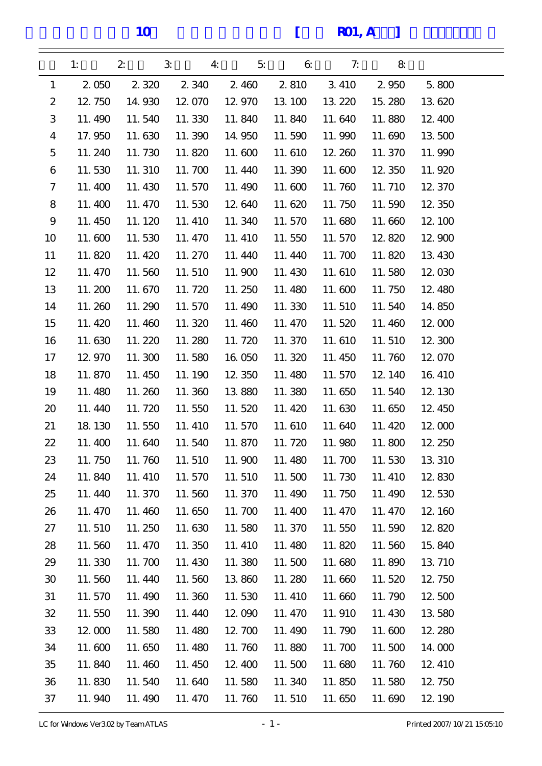10 [ R01, A ]

|                  | 1:      | $\boldsymbol{z}$ | $\mathbf{3}$<br>$\bf{4}$ | 5 <sub>i</sub> | $\mathbf{a}$ | 7:     | 8       |         |
|------------------|---------|------------------|--------------------------|----------------|--------------|--------|---------|---------|
| $\mathbf{1}$     | 2 0 5 0 | 2 3 2 0          | 2 3 4 0                  | 2.460          | 2 8 10       | 3 410  | 2 9 5 0 | 5.800   |
| $\boldsymbol{2}$ | 12, 750 | 14.930           | 12.070                   | 12.970         | 13 100       | 13 220 | 15.280  | 13 620  |
| 3                | 11.490  | 11.540           | 11.330                   | 11.840         | 11.840       | 11.640 | 11.880  | 12, 400 |
| $\boldsymbol{4}$ | 17.950  | 11.630           | 11.390                   | 14.950         | 11.590       | 11.990 | 11.690  | 13 500  |
| $\mathbf 5$      | 11.240  | 11.730           | 11.820                   | 11.600         | 11.610       | 12.260 | 11.370  | 11.990  |
| 6                | 11.530  | 11.310           | 11.700                   | 11.440         | 11.390       | 11.600 | 12, 350 | 11.920  |
| 7                | 11.400  | 11.430           | 11.570                   | 11.490         | 11.600       | 11.760 | 11.710  | 12.370  |
| 8                | 11.400  | 11.470           | 11.530                   | 12.640         | 11.620       | 11.750 | 11.590  | 12 350  |
| 9                | 11.450  | 11.120           | 11.410                   | 11.340         | 11.570       | 11.680 | 11.660  | 12, 100 |
| 10               | 11.600  | 11.530           | 11.470                   | 11.410         | 11.550       | 11.570 | 12.820  | 12.900  |
| 11               | 11.820  | 11.420           | 11.270                   | 11.440         | 11.440       | 11.700 | 11.820  | 13 430  |
| 12               | 11.470  | 11.560           | 11.510                   | 11.900         | 11.430       | 11.610 | 11.580  | 12.030  |
| 13               | 11.200  | 11.670           | 11.720                   | 11.250         | 11.480       | 11.600 | 11.750  | 12, 480 |
| 14               | 11.260  | 11.290           | 11.570                   | 11.490         | 11.330       | 11.510 | 11.540  | 14.850  |
| 15               | 11.420  | 11.460           | 11.320                   | 11.460         | 11.470       | 11.520 | 11.460  | 12.000  |
| 16               | 11.630  | 11.220           | 11.280                   | 11.720         | 11.370       | 11.610 | 11.510  | 12, 300 |
| 17               | 12.970  | 11.300           | 11.580                   | 16.050         | 11.320       | 11.450 | 11.760  | 12.070  |
| 18               | 11.870  | 11.450           | 11.190                   | 12.350         | 11.480       | 11.570 | 12, 140 | 16, 410 |
| 19               | 11.480  | 11.260           | 11.360                   | 13 880         | 11.380       | 11.650 | 11.540  | 12, 130 |
| 20               | 11.440  | 11.720           | 11.550                   | 11.520         | 11.420       | 11.630 | 11.650  | 12, 450 |
| 21               | 18 130  | 11.550           | 11.410                   | 11.570         | 11.610       | 11.640 | 11.420  | 12.000  |
| 22               | 11.400  | 11.640           | 11.540                   | 11.870         | 11.720       | 11.980 | 11.800  | 12.250  |
| 23               | 11.750  | 11.760           | 11.510                   | 11.900         | 11.480       | 11.700 | 11.530  | 13 310  |
| 24               | 11.840  | 11.410           | 11.570                   | 11.510         | 11.500       | 11.730 | 11.410  | 12.830  |
| 25               | 11.440  | 11.370           | 11.560                   | 11.370         | 11.490       | 11.750 | 11.490  | 12.530  |
| 26               | 11.470  | 11.460           | 11.650                   | 11.700         | 11.400       | 11.470 | 11.470  | 12, 160 |
| 27               | 11.510  | 11.250           | 11.630                   | 11.580         | 11.370       | 11.550 | 11.590  | 12.820  |
| 28               | 11.560  | 11.470           | 11.350                   | 11.410         | 11.480       | 11.820 | 11.560  | 15.840  |
| 29               | 11.330  | 11.700           | 11.430                   | 11.380         | 11.500       | 11.680 | 11.890  | 13 710  |
| 30               | 11.560  | 11.440           | 11.560                   | 13.860         | 11.280       | 11.660 | 11.520  | 12, 750 |
| 31               | 11.570  | 11.490           | 11.360                   | 11.530         | 11.410       | 11.660 | 11.790  | 12.500  |
| 32               | 11.550  | 11.390           | 11.440                   | 12,090         | 11.470       | 11.910 | 11.430  | 13 580  |
| 33               | 12.000  | 11.580           | 11.480                   | 12.700         | 11.490       | 11.790 | 11.600  | 12, 280 |
| 34               | 11.600  | 11.650           | 11.480                   | 11.760         | 11.880       | 11.700 | 11.500  | 14.000  |
| 35               | 11.840  | 11.460           | 11.450                   | 12, 400        | 11.500       | 11.680 | 11.760  | 12, 410 |
| 36               | 11.830  | 11.540           | 11.640                   | 11.580         | 11.340       | 11.850 | 11.580  | 12, 750 |
| 37               | 11.940  | 11.490           | 11.470                   | 11.760         | 11.510       | 11.650 | 11.690  | 12, 190 |